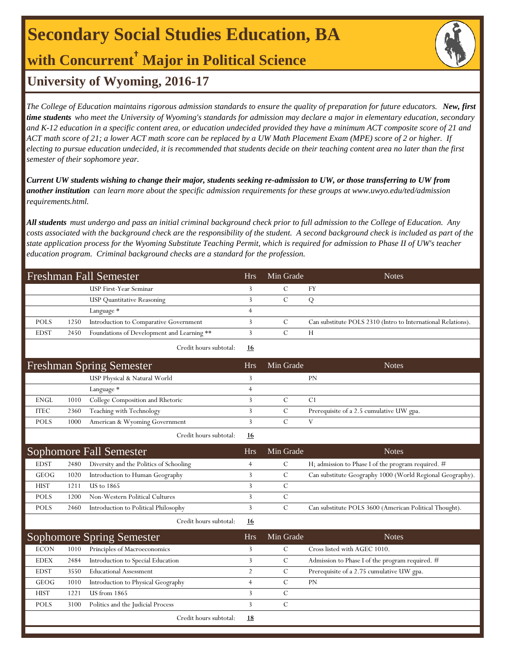# **Secondary Social Studies Education, BA**

**with Concurrent† Major in Political Science**

## **University of Wyoming, 2016-17**

*The College of Education maintains rigorous admission standards to ensure the quality of preparation for future educators. New, first time students who meet the University of Wyoming's standards for admission may declare a major in elementary education, secondary and K-12 education in a specific content area, or education undecided provided they have a minimum ACT composite score of 21 and ACT math score of 21; a lower ACT math score can be replaced by a UW Math Placement Exam (MPE) score of 2 or higher. If electing to pursue education undecided, it is recommended that students decide on their teaching content area no later than the first semester of their sophomore year.*

*Current UW students wishing to change their major, students seeking re-admission to UW, or those transferring to UW from another institution can learn more about the specific admission requirements for these groups at www.uwyo.edu/ted/admission requirements.html.* 

*All students must undergo and pass an initial criminal background check prior to full admission to the College of Education. Any costs associated with the background check are the responsibility of the student. A second background check is included as part of the state application process for the Wyoming Substitute Teaching Permit, which is required for admission to Phase II of UW's teacher education program. Criminal background checks are a standard for the profession.*

| <b>Freshman Fall Semester</b> |                                            |                                 | Min Grade     | <b>Notes</b>                                                 |
|-------------------------------|--------------------------------------------|---------------------------------|---------------|--------------------------------------------------------------|
|                               | USP First-Year Seminar                     | 3                               | $\mathcal{C}$ | FY                                                           |
|                               | <b>USP</b> Quantitative Reasoning          | $\overline{3}$                  | $\mathcal{C}$ | ${\bf Q}$                                                    |
|                               | Language *                                 | $\overline{4}$                  |               |                                                              |
| 1250                          | Introduction to Comparative Government     | 3                               | $\mathcal{C}$ | Can substitute POLS 2310 (Intro to International Relations). |
| 2450                          | Foundations of Development and Learning ** | 3                               | $\mathbf C$   | H                                                            |
|                               | Credit hours subtotal:                     | 16                              |               |                                                              |
|                               |                                            | <b>Hrs</b>                      | Min Grade     | <b>Notes</b>                                                 |
|                               | USP Physical & Natural World               | 3                               |               | PN                                                           |
|                               | Language *                                 | 4                               |               |                                                              |
| 1010                          | College Composition and Rhetoric           | 3                               | $\mathbf C$   | C1                                                           |
| 2360                          | Teaching with Technology                   | $\overline{3}$                  | $\mathcal{C}$ | Prerequisite of a 2.5 cumulative UW gpa.                     |
| 1000                          | American & Wyoming Government              | 3                               | $\mathcal{C}$ | V                                                            |
|                               | Credit hours subtotal:                     | 16                              |               |                                                              |
|                               |                                            |                                 |               |                                                              |
|                               | Sophomore Fall Semester                    | <b>Hrs</b>                      | Min Grade     | <b>Notes</b>                                                 |
| 2480                          | Diversity and the Politics of Schooling    | 4                               | $\mathcal{C}$ | H; admission to Phase I of the program required. #           |
| 1020                          | Introduction to Human Geography            | 3                               | $\mathcal{C}$ | Can substitute Geography 1000 (World Regional Geography).    |
| 1211                          | <b>US</b> to 1865                          | 3                               | $\mathcal{C}$ |                                                              |
| 1200                          | Non-Western Political Cultures             | 3                               | $\mathbf C$   |                                                              |
| 2460                          | Introduction to Political Philosophy       | $\overline{3}$                  | $\mathbf C$   | Can substitute POLS 3600 (American Political Thought).       |
|                               | Credit hours subtotal:                     | <u>16</u>                       |               |                                                              |
|                               | <b>Sophomore Spring Semester</b>           | <b>Hrs</b>                      | Min Grade     | <b>Notes</b>                                                 |
| 1010                          | Principles of Macroeconomics               | 3                               | $\mathcal{C}$ | Cross listed with AGEC 1010.                                 |
| 2484                          | Introduction to Special Education          | 3                               | $\mathcal{C}$ | Admission to Phase I of the program required. #              |
| 3550                          | <b>Educational Assessment</b>              | $\overline{c}$                  | $\mathcal{C}$ | Prerequisite of a 2.75 cumulative UW gpa.                    |
| 1010                          | Introduction to Physical Geography         | $\overline{4}$                  | $\mathcal{C}$ | PN                                                           |
| 1221                          | <b>US</b> from 1865                        | 3                               | $\mathcal{C}$ |                                                              |
|                               |                                            | <b>Freshman Spring Semester</b> | <b>Hrs</b>    |                                                              |

Credit hours subtotal: **18**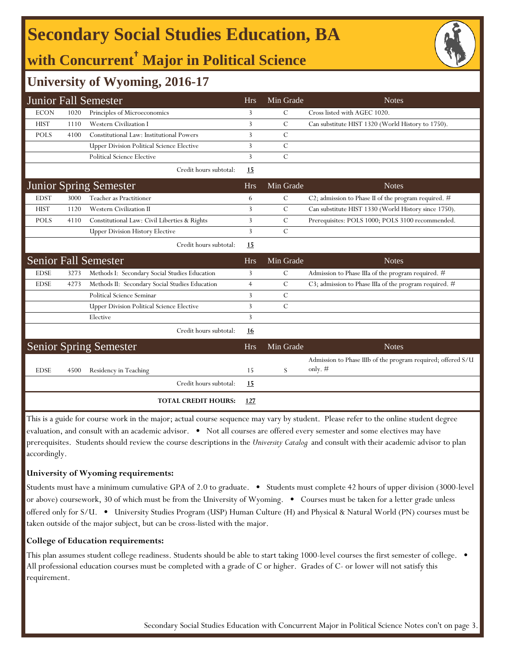# **Secondary Social Studies Education, BA**

# **with Concurrent† Major in Political Science**



### **University of Wyoming, 2016-17**

|             |      | <b>Junior Fall Semester</b>                      | <b>Hrs</b>     | Min Grade      | <b>Notes</b>                                                              |
|-------------|------|--------------------------------------------------|----------------|----------------|---------------------------------------------------------------------------|
| <b>ECON</b> | 1020 | Principles of Microeconomics                     | 3              | C              | Cross listed with AGEC 1020.                                              |
| <b>HIST</b> | 1110 | <b>Western Civilization I</b>                    | 3              | С              | Can substitute HIST 1320 (World History to 1750).                         |
| <b>POLS</b> | 4100 | Constitutional Law: Institutional Powers         | 3              | C              |                                                                           |
|             |      | <b>Upper Division Political Science Elective</b> | 3              | $\mathcal{C}$  |                                                                           |
|             |      | <b>Political Science Elective</b>                | 3              | $\mathcal{C}$  |                                                                           |
|             |      | Credit hours subtotal:                           | 15             |                |                                                                           |
|             |      | <b>Junior Spring Semester</b>                    | <b>Hrs</b>     | Min Grade      | <b>Notes</b>                                                              |
| <b>EDST</b> | 3000 | Teacher as Practitioner                          | 6              | C              | C2; admission to Phase II of the program required. #                      |
| <b>HIST</b> | 1120 | Western Civilization II                          | 3              | $\mathcal{C}$  | Can substitute HIST 1330 (World History since 1750).                      |
| <b>POLS</b> | 4110 | Constitutional Law: Civil Liberties & Rights     | 3              | С              | Prerequisites: POLS 1000; POLS 3100 recommended.                          |
|             |      | <b>Upper Division History Elective</b>           | 3              | $\mathcal{C}$  |                                                                           |
|             |      | Credit hours subtotal:                           | 15             |                |                                                                           |
|             |      | <b>Senior Fall Semester</b>                      | <b>Hrs</b>     | Min Grade      | <b>Notes</b>                                                              |
| <b>EDSE</b> | 3273 | Methods I: Secondary Social Studies Education    | 3              | $\mathcal{C}$  | Admission to Phase IIIa of the program required. #                        |
| <b>EDSE</b> | 4273 | Methods II: Secondary Social Studies Education   | $\overline{4}$ | $\mathcal{C}$  | C3; admission to Phase IIIa of the program required. #                    |
|             |      | Political Science Seminar                        | 3              | C              |                                                                           |
|             |      | <b>Upper Division Political Science Elective</b> | 3              | $\overline{C}$ |                                                                           |
|             |      | Elective                                         | 3              |                |                                                                           |
|             |      | Credit hours subtotal:                           | 16             |                |                                                                           |
|             |      | <b>Senior Spring Semester</b>                    | <b>Hrs</b>     | Min Grade      | <b>Notes</b>                                                              |
| <b>EDSE</b> | 4500 | Residency in Teaching                            | 15             | S              | Admission to Phase IIIb of the program required; offered S/U<br>only. $#$ |
|             |      | Credit hours subtotal:                           | <u>15</u>      |                |                                                                           |
|             |      | <b>TOTAL CREDIT HOURS:</b>                       | 127            |                |                                                                           |

This is a guide for course work in the major; actual course sequence may vary by student. Please refer to the online student degree evaluation, and consult with an academic advisor. • Not all courses are offered every semester and some electives may have prerequisites. Students should review the course descriptions in the *University Catalog* and consult with their academic advisor to plan accordingly.

#### **University of Wyoming requirements:**

Students must have a minimum cumulative GPA of 2.0 to graduate. • Students must complete 42 hours of upper division (3000-level or above) coursework, 30 of which must be from the University of Wyoming. • Courses must be taken for a letter grade unless offered only for S/U. • University Studies Program (USP) Human Culture (H) and Physical & Natural World (PN) courses must be taken outside of the major subject, but can be cross-listed with the major.

#### **College of Education requirements:**

This plan assumes student college readiness. Students should be able to start taking 1000-level courses the first semester of college. All professional education courses must be completed with a grade of C or higher. Grades of C- or lower will not satisfy this requirement.